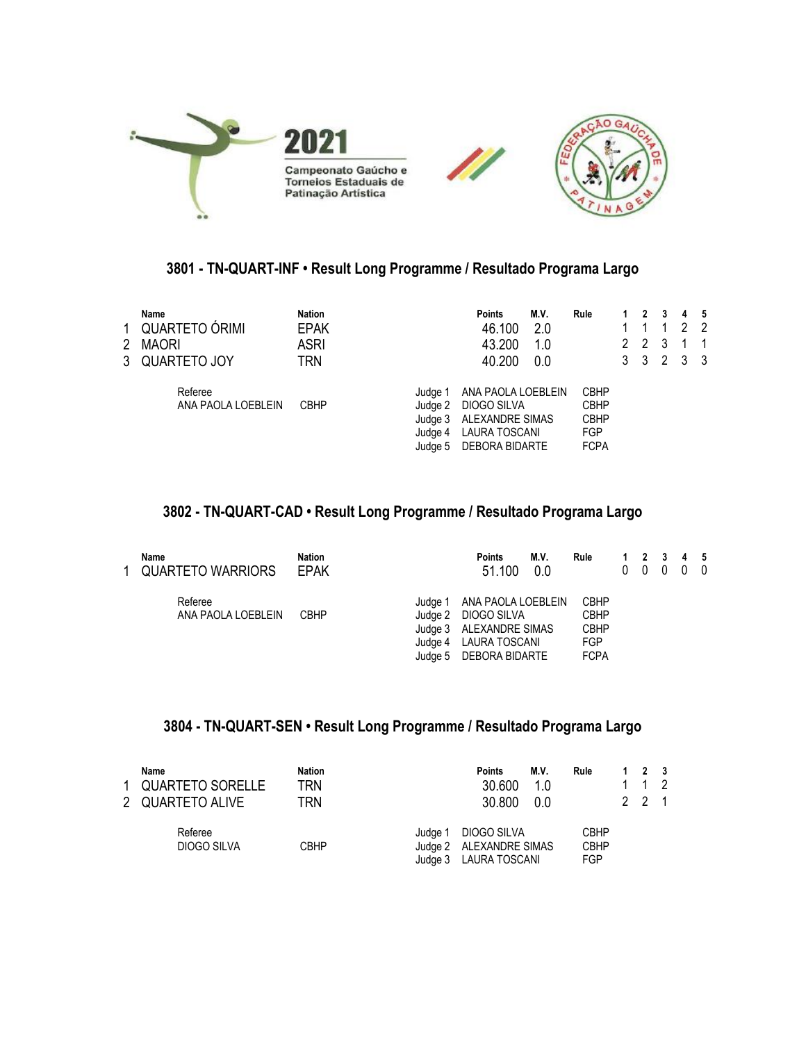

## **3801 - TN-QUART-INF • Result Long Programme / Resultado Programa Largo**

| 1<br>$\mathbf{2}$ | Name<br>QUARTETO ÓRIMI<br><b>MAORI</b><br>3 QUARTETO JOY | <b>Nation</b><br><b>EPAK</b><br>ASRI<br>TRN |                                                     | <b>Points</b><br>46.100<br>43.200<br>40.200                                             | M.V.<br>2.0<br>1.0<br>0.0 | Rule                                                                   | 2 | $\boldsymbol{\mathcal{P}}$<br>2<br>3 <sup>3</sup> | -3<br>3<br>2 | 4<br>2<br>3 | - 5<br>-2<br>- 3 |
|-------------------|----------------------------------------------------------|---------------------------------------------|-----------------------------------------------------|-----------------------------------------------------------------------------------------|---------------------------|------------------------------------------------------------------------|---|---------------------------------------------------|--------------|-------------|------------------|
|                   | Referee<br>ANA PAOLA LOEBLEIN                            | <b>CBHP</b>                                 | Judge 1<br>Judge 2<br>Judge 3<br>Judge 4<br>Judge 5 | ANA PAOLA LOEBLEIN<br>DIOGO SILVA<br>ALEXANDRE SIMAS<br>LAURA TOSCANI<br>DEBORA BIDARTE |                           | <b>CBHP</b><br><b>CBHP</b><br><b>CBHP</b><br><b>FGP</b><br><b>FCPA</b> |   |                                                   |              |             |                  |

# **3802 - TN-QUART-CAD • Result Long Programme / Resultado Programa Largo**

| Name<br>1 QUARTETO WARRIORS   | Nation<br><b>EPAK</b> |                    | <b>Points</b><br>51.100                                                                                         | M.V.<br>0.0 | Rule                                                                   | 0 | 0 | $\mathbf{0}$ | 1 2 3 4 5<br>$0\quad 0$ |  |
|-------------------------------|-----------------------|--------------------|-----------------------------------------------------------------------------------------------------------------|-------------|------------------------------------------------------------------------|---|---|--------------|-------------------------|--|
| Referee<br>ANA PAOLA LOEBLEIN | <b>CBHP</b>           | Judge 1<br>Judge 2 | ANA PAOLA LOEBLEIN<br>DIOGO SILVA<br>Judge 3 ALEXANDRE SIMAS<br>Judge 4 LAURA TOSCANI<br>Judge 5 DEBORA BIDARTE |             | <b>CBHP</b><br><b>CBHP</b><br><b>CBHP</b><br><b>FGP</b><br><b>FCPA</b> |   |   |              |                         |  |

### **3804 - TN-QUART-SEN • Result Long Programme / Resultado Programa Largo**

| Name<br>1 QUARTETO SORELLE<br>2 QUARTETO ALIVE | <b>Nation</b><br>TRN<br>TRN | <b>Points</b><br>30,600<br>30.800                                          | M.V.<br>1.0<br>0.0 | Rule                              | $1 \quad 2 \quad 3$<br>1 1 2<br>$2 \t2 \t1$ |  |
|------------------------------------------------|-----------------------------|----------------------------------------------------------------------------|--------------------|-----------------------------------|---------------------------------------------|--|
| Referee<br>DIOGO SILVA                         | CBHP                        | DIOGO SILVA<br>Judae 1<br>Judge 2 ALEXANDRE SIMAS<br>Judge 3 LAURA TOSCANI |                    | <b>CBHP</b><br><b>CBHP</b><br>FGP |                                             |  |